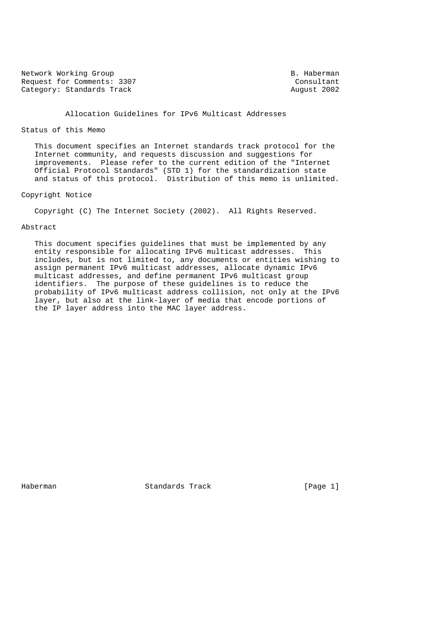Network Working Group and the set of the set of the B. Haberman Request for Comments: 3307<br>
Category: Standards Track<br>
Category: Standards Track Category: Standards Track

# Allocation Guidelines for IPv6 Multicast Addresses

## Status of this Memo

 This document specifies an Internet standards track protocol for the Internet community, and requests discussion and suggestions for improvements. Please refer to the current edition of the "Internet Official Protocol Standards" (STD 1) for the standardization state and status of this protocol. Distribution of this memo is unlimited.

# Copyright Notice

Copyright (C) The Internet Society (2002). All Rights Reserved.

## Abstract

 This document specifies guidelines that must be implemented by any entity responsible for allocating IPv6 multicast addresses. This includes, but is not limited to, any documents or entities wishing to assign permanent IPv6 multicast addresses, allocate dynamic IPv6 multicast addresses, and define permanent IPv6 multicast group identifiers. The purpose of these guidelines is to reduce the probability of IPv6 multicast address collision, not only at the IPv6 layer, but also at the link-layer of media that encode portions of the IP layer address into the MAC layer address.

Haberman Standards Track [Page 1]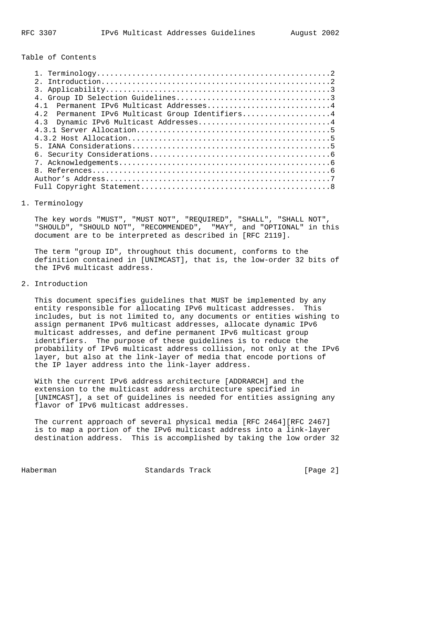Table of Contents

| $\mathcal{P}$                                   |  |
|-------------------------------------------------|--|
|                                                 |  |
|                                                 |  |
| Permanent IPv6 Multicast Addresses4<br>4 1      |  |
| 4.2 Permanent IPv6 Multicast Group Identifiers4 |  |
| 4.3 Dynamic IPv6 Multicast Addresses4           |  |
|                                                 |  |
|                                                 |  |
|                                                 |  |
|                                                 |  |
|                                                 |  |
|                                                 |  |
|                                                 |  |
|                                                 |  |

#### 1. Terminology

 The key words "MUST", "MUST NOT", "REQUIRED", "SHALL", "SHALL NOT", "SHOULD", "SHOULD NOT", "RECOMMENDED", "MAY", and "OPTIONAL" in this document are to be interpreted as described in [RFC 2119].

 The term "group ID", throughout this document, conforms to the definition contained in [UNIMCAST], that is, the low-order 32 bits of the IPv6 multicast address.

# 2. Introduction

 This document specifies guidelines that MUST be implemented by any entity responsible for allocating IPv6 multicast addresses. This includes, but is not limited to, any documents or entities wishing to assign permanent IPv6 multicast addresses, allocate dynamic IPv6 multicast addresses, and define permanent IPv6 multicast group identifiers. The purpose of these guidelines is to reduce the probability of IPv6 multicast address collision, not only at the IPv6 layer, but also at the link-layer of media that encode portions of the IP layer address into the link-layer address.

 With the current IPv6 address architecture [ADDRARCH] and the extension to the multicast address architecture specified in [UNIMCAST], a set of guidelines is needed for entities assigning any flavor of IPv6 multicast addresses.

 The current approach of several physical media [RFC 2464][RFC 2467] is to map a portion of the IPv6 multicast address into a link-layer destination address. This is accomplished by taking the low order 32

Haberman Standards Track [Page 2]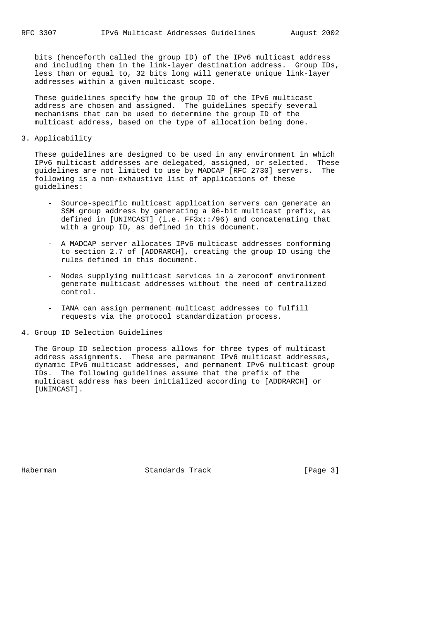bits (henceforth called the group ID) of the IPv6 multicast address and including them in the link-layer destination address. Group IDs, less than or equal to, 32 bits long will generate unique link-layer addresses within a given multicast scope.

 These guidelines specify how the group ID of the IPv6 multicast address are chosen and assigned. The guidelines specify several mechanisms that can be used to determine the group ID of the multicast address, based on the type of allocation being done.

3. Applicability

 These guidelines are designed to be used in any environment in which IPv6 multicast addresses are delegated, assigned, or selected. These guidelines are not limited to use by MADCAP [RFC 2730] servers. The following is a non-exhaustive list of applications of these guidelines:

- Source-specific multicast application servers can generate an SSM group address by generating a 96-bit multicast prefix, as defined in [UNIMCAST] (i.e. FF3x::/96) and concatenating that with a group ID, as defined in this document.
- A MADCAP server allocates IPv6 multicast addresses conforming to section 2.7 of [ADDRARCH], creating the group ID using the rules defined in this document.
- Nodes supplying multicast services in a zeroconf environment generate multicast addresses without the need of centralized control.
- IANA can assign permanent multicast addresses to fulfill requests via the protocol standardization process.
- 4. Group ID Selection Guidelines

 The Group ID selection process allows for three types of multicast address assignments. These are permanent IPv6 multicast addresses, dynamic IPv6 multicast addresses, and permanent IPv6 multicast group IDs. The following guidelines assume that the prefix of the multicast address has been initialized according to [ADDRARCH] or [UNIMCAST].

Haberman **Standards Track** [Page 3]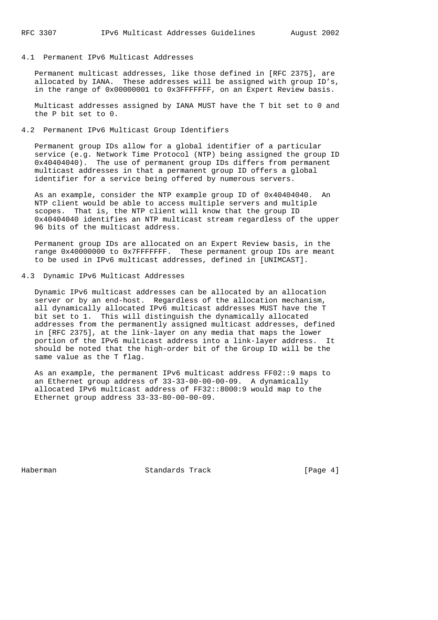## 4.1 Permanent IPv6 Multicast Addresses

 Permanent multicast addresses, like those defined in [RFC 2375], are allocated by IANA. These addresses will be assigned with group ID's, in the range of 0x00000001 to 0x3FFFFFFF, on an Expert Review basis.

 Multicast addresses assigned by IANA MUST have the T bit set to 0 and the P bit set to 0.

#### 4.2 Permanent IPv6 Multicast Group Identifiers

 Permanent group IDs allow for a global identifier of a particular service (e.g. Network Time Protocol (NTP) being assigned the group ID 0x40404040). The use of permanent group IDs differs from permanent multicast addresses in that a permanent group ID offers a global identifier for a service being offered by numerous servers.

 As an example, consider the NTP example group ID of 0x40404040. An NTP client would be able to access multiple servers and multiple scopes. That is, the NTP client will know that the group ID 0x40404040 identifies an NTP multicast stream regardless of the upper 96 bits of the multicast address.

 Permanent group IDs are allocated on an Expert Review basis, in the range 0x40000000 to 0x7FFFFFFF. These permanent group IDs are meant to be used in IPv6 multicast addresses, defined in [UNIMCAST].

# 4.3 Dynamic IPv6 Multicast Addresses

 Dynamic IPv6 multicast addresses can be allocated by an allocation server or by an end-host. Regardless of the allocation mechanism, all dynamically allocated IPv6 multicast addresses MUST have the T bit set to 1. This will distinguish the dynamically allocated addresses from the permanently assigned multicast addresses, defined in [RFC 2375], at the link-layer on any media that maps the lower portion of the IPv6 multicast address into a link-layer address. It should be noted that the high-order bit of the Group ID will be the same value as the T flag.

 As an example, the permanent IPv6 multicast address FF02::9 maps to an Ethernet group address of 33-33-00-00-00-09. A dynamically allocated IPv6 multicast address of FF32::8000:9 would map to the Ethernet group address 33-33-80-00-00-09.

Haberman **Standards Track** [Page 4]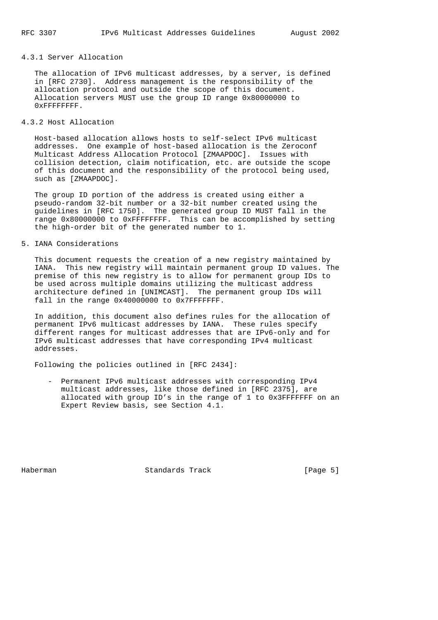# 4.3.1 Server Allocation

 The allocation of IPv6 multicast addresses, by a server, is defined in [RFC 2730]. Address management is the responsibility of the allocation protocol and outside the scope of this document. Allocation servers MUST use the group ID range 0x80000000 to 0xFFFFFFFF.

# 4.3.2 Host Allocation

 Host-based allocation allows hosts to self-select IPv6 multicast addresses. One example of host-based allocation is the Zeroconf Multicast Address Allocation Protocol [ZMAAPDOC]. Issues with collision detection, claim notification, etc. are outside the scope of this document and the responsibility of the protocol being used, such as [ZMAAPDOC].

 The group ID portion of the address is created using either a pseudo-random 32-bit number or a 32-bit number created using the guidelines in [RFC 1750]. The generated group ID MUST fall in the range 0x80000000 to 0xFFFFFFFF. This can be accomplished by setting the high-order bit of the generated number to 1.

#### 5. IANA Considerations

 This document requests the creation of a new registry maintained by IANA. This new registry will maintain permanent group ID values. The premise of this new registry is to allow for permanent group IDs to be used across multiple domains utilizing the multicast address architecture defined in [UNIMCAST]. The permanent group IDs will fall in the range 0x40000000 to 0x7FFFFFFF.

 In addition, this document also defines rules for the allocation of permanent IPv6 multicast addresses by IANA. These rules specify different ranges for multicast addresses that are IPv6-only and for IPv6 multicast addresses that have corresponding IPv4 multicast addresses.

Following the policies outlined in [RFC 2434]:

 - Permanent IPv6 multicast addresses with corresponding IPv4 multicast addresses, like those defined in [RFC 2375], are allocated with group ID's in the range of 1 to 0x3FFFFFFF on an Expert Review basis, see Section 4.1.

Haberman **Standards Track** [Page 5]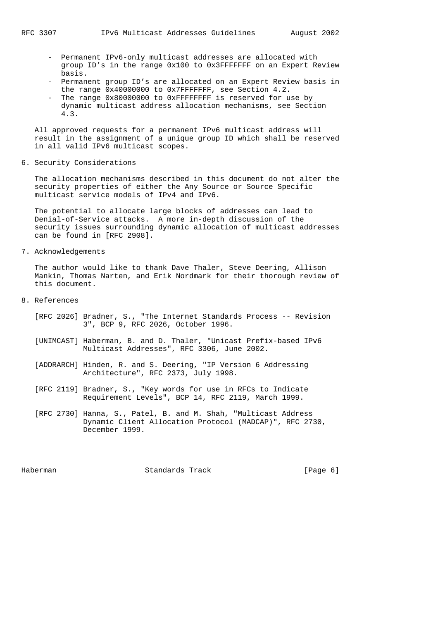- Permanent IPv6-only multicast addresses are allocated with group ID's in the range 0x100 to 0x3FFFFFFF on an Expert Review basis.
- Permanent group ID's are allocated on an Expert Review basis in the range 0x40000000 to 0x7FFFFFFF, see Section 4.2.
- The range 0x80000000 to 0xFFFFFFFF is reserved for use by dynamic multicast address allocation mechanisms, see Section 4.3.

 All approved requests for a permanent IPv6 multicast address will result in the assignment of a unique group ID which shall be reserved in all valid IPv6 multicast scopes.

6. Security Considerations

 The allocation mechanisms described in this document do not alter the security properties of either the Any Source or Source Specific multicast service models of IPv4 and IPv6.

 The potential to allocate large blocks of addresses can lead to Denial-of-Service attacks. A more in-depth discussion of the security issues surrounding dynamic allocation of multicast addresses can be found in [RFC 2908].

7. Acknowledgements

 The author would like to thank Dave Thaler, Steve Deering, Allison Mankin, Thomas Narten, and Erik Nordmark for their thorough review of this document.

- 8. References
	- [RFC 2026] Bradner, S., "The Internet Standards Process -- Revision 3", BCP 9, RFC 2026, October 1996.
	- [UNIMCAST] Haberman, B. and D. Thaler, "Unicast Prefix-based IPv6 Multicast Addresses", RFC 3306, June 2002.
	- [ADDRARCH] Hinden, R. and S. Deering, "IP Version 6 Addressing Architecture", RFC 2373, July 1998.
	- [RFC 2119] Bradner, S., "Key words for use in RFCs to Indicate Requirement Levels", BCP 14, RFC 2119, March 1999.
	- [RFC 2730] Hanna, S., Patel, B. and M. Shah, "Multicast Address Dynamic Client Allocation Protocol (MADCAP)", RFC 2730, December 1999.

Haberman **Standards Track** [Page 6]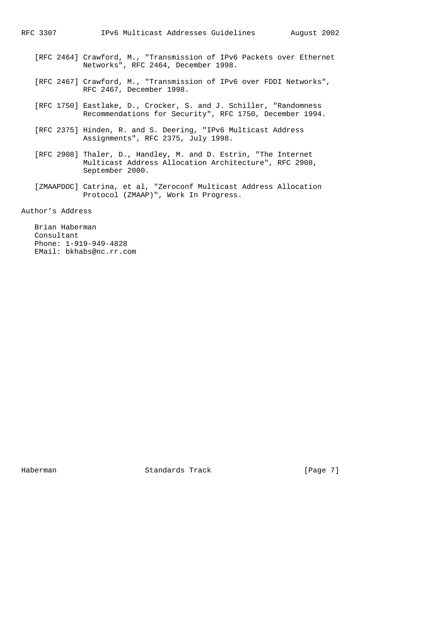- [RFC 2464] Crawford, M., "Transmission of IPv6 Packets over Ethernet Networks", RFC 2464, December 1998.
- [RFC 2467] Crawford, M., "Transmission of IPv6 over FDDI Networks", RFC 2467, December 1998.
- [RFC 1750] Eastlake, D., Crocker, S. and J. Schiller, "Randomness Recommendations for Security", RFC 1750, December 1994.
- [RFC 2375] Hinden, R. and S. Deering, "IPv6 Multicast Address Assignments", RFC 2375, July 1998.
- [RFC 2908] Thaler, D., Handley, M. and D. Estrin, "The Internet Multicast Address Allocation Architecture", RFC 2908, September 2000.
- [ZMAAPDOC] Catrina, et al, "Zeroconf Multicast Address Allocation Protocol (ZMAAP)", Work In Progress.

Author's Address

 Brian Haberman Consultant Phone: 1-919-949-4828 EMail: bkhabs@nc.rr.com

Haberman **Standards Track** [Page 7]